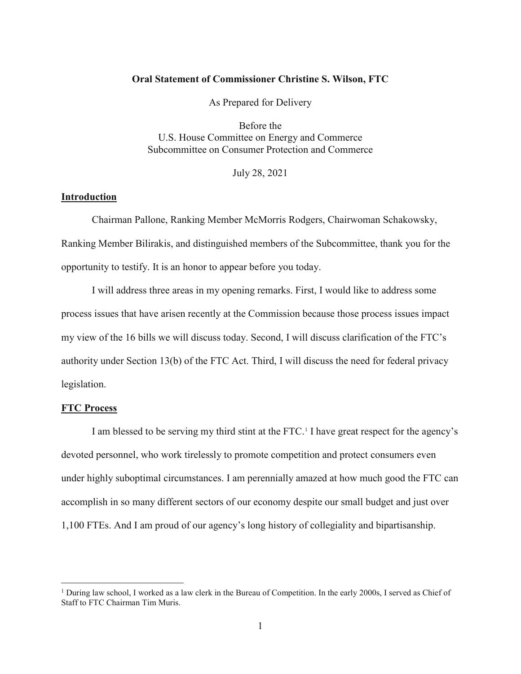# **Oral Statement of Commissioner Christine S. Wilson, FTC**

As Prepared for Delivery

Before the U.S. House Committee on Energy and Commerce Subcommittee on Consumer Protection and Commerce

July 28, 2021

# **Introduction**

Chairman Pallone, Ranking Member McMorris Rodgers, Chairwoman Schakowsky, Ranking Member Bilirakis, and distinguished members of the Subcommittee, thank you for the opportunity to testify. It is an honor to appear before you today.

I will address three areas in my opening remarks. First, I would like to address some process issues that have arisen recently at the Commission because those process issues impact my view of the 16 bills we will discuss today. Second, I will discuss clarification of the FTC's authority under Section 13(b) of the FTC Act. Third, I will discuss the need for federal privacy legislation.

# **FTC Process**

 $\overline{a}$ 

I am blessed to be serving my third stint at the FTC.<sup>[1](#page-0-0)</sup> I have great respect for the agency's devoted personnel, who work tirelessly to promote competition and protect consumers even under highly suboptimal circumstances. I am perennially amazed at how much good the FTC can accomplish in so many different sectors of our economy despite our small budget and just over 1,100 FTEs. And I am proud of our agency's long history of collegiality and bipartisanship.

<span id="page-0-0"></span><sup>&</sup>lt;sup>1</sup> During law school, I worked as a law clerk in the Bureau of Competition. In the early 2000s, I served as Chief of Staff to FTC Chairman Tim Muris.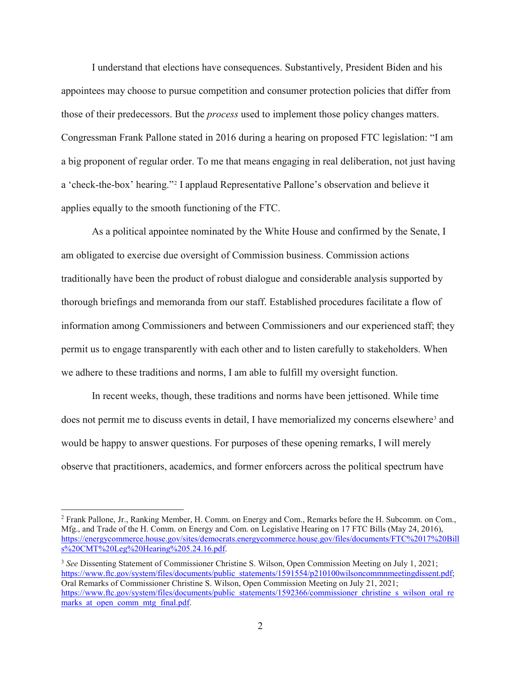I understand that elections have consequences. Substantively, President Biden and his appointees may choose to pursue competition and consumer protection policies that differ from those of their predecessors. But the *process* used to implement those policy changes matters. Congressman Frank Pallone stated in 2016 during a hearing on proposed FTC legislation: "I am a big proponent of regular order. To me that means engaging in real deliberation, not just having a 'check-the-box' hearing."[2](#page-1-0) I applaud Representative Pallone's observation and believe it applies equally to the smooth functioning of the FTC.

As a political appointee nominated by the White House and confirmed by the Senate, I am obligated to exercise due oversight of Commission business. Commission actions traditionally have been the product of robust dialogue and considerable analysis supported by thorough briefings and memoranda from our staff. Established procedures facilitate a flow of information among Commissioners and between Commissioners and our experienced staff; they permit us to engage transparently with each other and to listen carefully to stakeholders. When we adhere to these traditions and norms, I am able to fulfill my oversight function.

In recent weeks, though, these traditions and norms have been jettisoned. While time does not permit me to discuss events in detail, I have memorialized my concerns elsewhere<sup>[3](#page-1-1)</sup> and would be happy to answer questions. For purposes of these opening remarks, I will merely observe that practitioners, academics, and former enforcers across the political spectrum have

<span id="page-1-0"></span> <sup>2</sup> Frank Pallone, Jr., Ranking Member, H. Comm. on Energy and Com., Remarks before the H. Subcomm. on Com., Mfg., and Trade of the H. Comm. on Energy and Com. on Legislative Hearing on 17 FTC Bills (May 24, 2016), [https://energycommerce.house.gov/sites/democrats.energycommerce.house.gov/files/documents/FTC%2017%20Bill](https://energycommerce.house.gov/sites/democrats.energycommerce.house.gov/files/documents/FTC%2017%20Bills%20CMT%20Leg%20Hearing%205.24.16.pdf) [s%20CMT%20Leg%20Hearing%205.24.16.pdf.](https://energycommerce.house.gov/sites/democrats.energycommerce.house.gov/files/documents/FTC%2017%20Bills%20CMT%20Leg%20Hearing%205.24.16.pdf) 

<span id="page-1-1"></span><sup>3</sup> *See* Dissenting Statement of Commissioner Christine S. Wilson, Open Commission Meeting on July 1, 2021; [https://www.ftc.gov/system/files/documents/public\\_statements/1591554/p210100wilsoncommnmeetingdissent.pdf;](https://www.ftc.gov/system/files/documents/public_statements/1591554/p210100wilsoncommnmeetingdissent.pdf) Oral Remarks of Commissioner Christine S. Wilson, Open Commission Meeting on July 21, 2021; [https://www.ftc.gov/system/files/documents/public\\_statements/1592366/commissioner\\_christine\\_s\\_wilson\\_oral\\_re](https://www.ftc.gov/system/files/documents/public_statements/1592366/commissioner_christine_s_wilson_oral_remarks_at_open_comm_mtg_final.pdf) marks at open comm mtg final.pdf.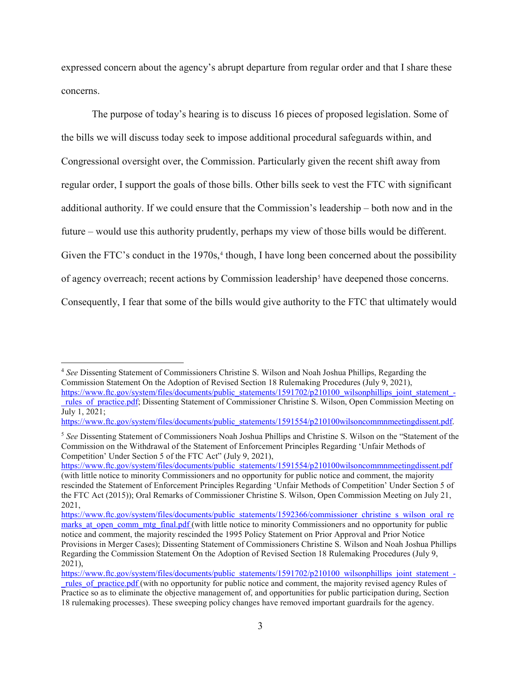expressed concern about the agency's abrupt departure from regular order and that I share these concerns.

The purpose of today's hearing is to discuss 16 pieces of proposed legislation. Some of the bills we will discuss today seek to impose additional procedural safeguards within, and Congressional oversight over, the Commission. Particularly given the recent shift away from regular order, I support the goals of those bills. Other bills seek to vest the FTC with significant additional authority. If we could ensure that the Commission's leadership – both now and in the future – would use this authority prudently, perhaps my view of those bills would be different. Given the FTC's conduct in the  $1970s$ ,<sup>[4](#page-2-0)</sup> though, I have long been concerned about the possibility of agency overreach; recent actions by Commission leadership<sup>[5](#page-2-1)</sup> have deepened those concerns. Consequently, I fear that some of the bills would give authority to the FTC that ultimately would

<span id="page-2-0"></span> 4 *See* Dissenting Statement of Commissioners Christine S. Wilson and Noah Joshua Phillips, Regarding the Commission Statement On the Adoption of Revised Section 18 Rulemaking Procedures (July 9, 2021), [https://www.ftc.gov/system/files/documents/public\\_statements/1591702/p210100\\_wilsonphillips\\_joint\\_statement\\_-](https://www.ftc.gov/system/files/documents/public_statements/1591702/p210100_wilsonphillips_joint_statement_-_rules_of_practice.pdf)

[\\_rules\\_of\\_practice.pdf;](https://www.ftc.gov/system/files/documents/public_statements/1591702/p210100_wilsonphillips_joint_statement_-_rules_of_practice.pdf) Dissenting Statement of Commissioner Christine S. Wilson, Open Commission Meeting on July 1, 2021;

[https://www.ftc.gov/system/files/documents/public\\_statements/1591554/p210100wilsoncommnmeetingdissent.pdf.](https://www.ftc.gov/system/files/documents/public_statements/1591554/p210100wilsoncommnmeetingdissent.pdf)

<span id="page-2-1"></span><sup>5</sup> *See* Dissenting Statement of Commissioners Noah Joshua Phillips and Christine S. Wilson on the "Statement of the Commission on the Withdrawal of the Statement of Enforcement Principles Regarding 'Unfair Methods of Competition' Under Section 5 of the FTC Act" (July 9, 2021),

[https://www.ftc.gov/system/files/documents/public\\_statements/1591554/p210100wilsoncommnmeetingdissent.pdf](https://www.ftc.gov/system/files/documents/public_statements/1591554/p210100wilsoncommnmeetingdissent.pdf) (with little notice to minority Commissioners and no opportunity for public notice and comment, the majority rescinded the Statement of Enforcement Principles Regarding 'Unfair Methods of Competition' Under Section 5 of the FTC Act (2015)); Oral Remarks of Commissioner Christine S. Wilson, Open Commission Meeting on July 21, 2021,

[https://www.ftc.gov/system/files/documents/public\\_statements/1592366/commissioner\\_christine\\_s\\_wilson\\_oral\\_re](https://www.ftc.gov/system/files/documents/public_statements/1592366/commissioner_christine_s_wilson_oral_remarks_at_open_comm_mtg_final.pdf) marks at open comm mtg final.pdf (with little notice to minority Commissioners and no opportunity for public notice and comment, the majority rescinded the 1995 Policy Statement on Prior Approval and Prior Notice Provisions in Merger Cases); Dissenting Statement of Commissioners Christine S. Wilson and Noah Joshua Phillips Regarding the Commission Statement On the Adoption of Revised Section 18 Rulemaking Procedures (July 9, 2021),

[https://www.ftc.gov/system/files/documents/public\\_statements/1591702/p210100\\_wilsonphillips\\_joint\\_statement\\_](https://www.ftc.gov/system/files/documents/public_statements/1591702/p210100_wilsonphillips_joint_statement_-_rules_of_practice.pdf) rules of practice.pdf (with no opportunity for public notice and comment, the majority revised agency Rules of Practice so as to eliminate the objective management of, and opportunities for public participation during, Section 18 rulemaking processes). These sweeping policy changes have removed important guardrails for the agency.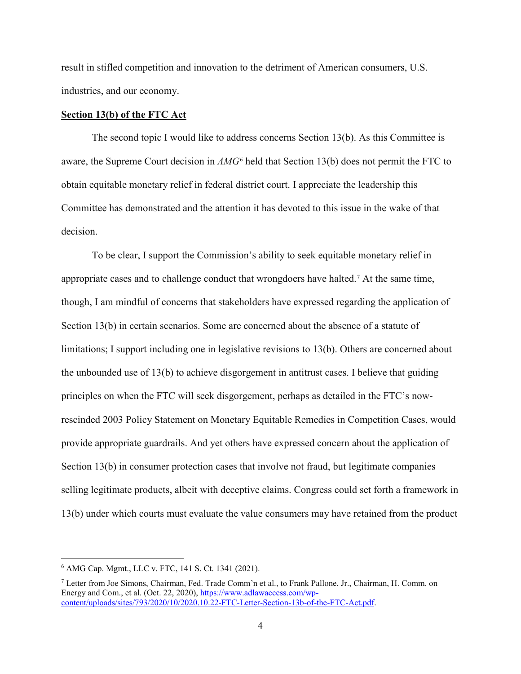result in stifled competition and innovation to the detriment of American consumers, U.S. industries, and our economy.

# **Section 13(b) of the FTC Act**

The second topic I would like to address concerns Section 13(b). As this Committee is aware, the Supreme Court decision in *AMG*[6](#page-3-0) held that Section 13(b) does not permit the FTC to obtain equitable monetary relief in federal district court. I appreciate the leadership this Committee has demonstrated and the attention it has devoted to this issue in the wake of that decision.

To be clear, I support the Commission's ability to seek equitable monetary relief in appropriate cases and to challenge conduct that wrongdoers have halted.[7](#page-3-1) At the same time, though, I am mindful of concerns that stakeholders have expressed regarding the application of Section 13(b) in certain scenarios. Some are concerned about the absence of a statute of limitations; I support including one in legislative revisions to 13(b). Others are concerned about the unbounded use of 13(b) to achieve disgorgement in antitrust cases. I believe that guiding principles on when the FTC will seek disgorgement, perhaps as detailed in the FTC's nowrescinded 2003 Policy Statement on Monetary Equitable Remedies in Competition Cases, would provide appropriate guardrails. And yet others have expressed concern about the application of Section 13(b) in consumer protection cases that involve not fraud, but legitimate companies selling legitimate products, albeit with deceptive claims. Congress could set forth a framework in 13(b) under which courts must evaluate the value consumers may have retained from the product

<span id="page-3-0"></span> <sup>6</sup> AMG Cap. Mgmt., LLC v. FTC, 141 S. Ct. 1341 (2021).

<span id="page-3-1"></span><sup>7</sup> Letter from Joe Simons, Chairman, Fed. Trade Comm'n et al., to Frank Pallone, Jr., Chairman, H. Comm. on Energy and Com., et al. (Oct. 22, 2020), [https://www.adlawaccess.com/wp](https://www.adlawaccess.com/wp-content/uploads/sites/793/2020/10/2020.10.22-FTC-Letter-Section-13b-of-the-FTC-Act.pdf)[content/uploads/sites/793/2020/10/2020.10.22-FTC-Letter-Section-13b-of-the-FTC-Act.pdf.](https://www.adlawaccess.com/wp-content/uploads/sites/793/2020/10/2020.10.22-FTC-Letter-Section-13b-of-the-FTC-Act.pdf)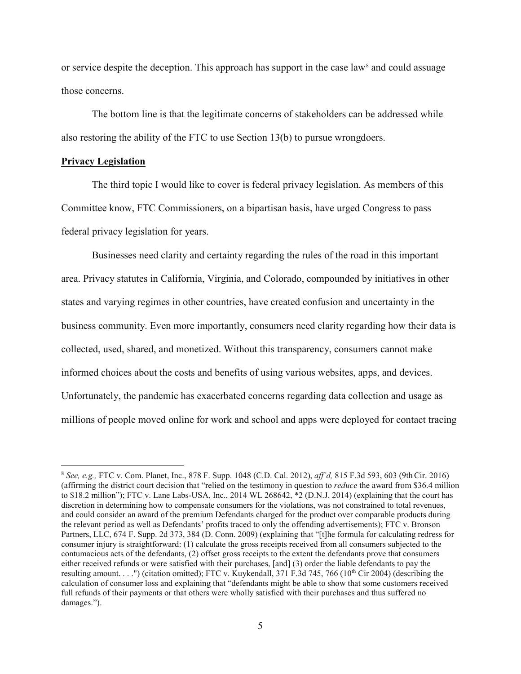or service despite the deception. This approach has support in the case law<sup>[8](#page-4-0)</sup> and could assuage those concerns.

The bottom line is that the legitimate concerns of stakeholders can be addressed while also restoring the ability of the FTC to use Section 13(b) to pursue wrongdoers.

#### **Privacy Legislation**

The third topic I would like to cover is federal privacy legislation. As members of this Committee know, FTC Commissioners, on a bipartisan basis, have urged Congress to pass federal privacy legislation for years.

Businesses need clarity and certainty regarding the rules of the road in this important area. Privacy statutes in California, Virginia, and Colorado, compounded by initiatives in other states and varying regimes in other countries, have created confusion and uncertainty in the business community. Even more importantly, consumers need clarity regarding how their data is collected, used, shared, and monetized. Without this transparency, consumers cannot make informed choices about the costs and benefits of using various websites, apps, and devices. Unfortunately, the pandemic has exacerbated concerns regarding data collection and usage as millions of people moved online for work and school and apps were deployed for contact tracing

<span id="page-4-0"></span> <sup>8</sup> *See, e.g.,* FTC v. Com. Planet, Inc., 878 F. Supp. 1048 (C.D. Cal. 2012), *aff'd,* 815 F.3d 593, 603 (9thCir. 2016) (affirming the district court decision that "relied on the testimony in question to *reduce* the award from \$36.4 million to \$18.2 million"); FTC v. Lane Labs-USA, Inc., 2014 WL 268642, \*2 (D.N.J. 2014) (explaining that the court has discretion in determining how to compensate consumers for the violations, was not constrained to total revenues, and could consider an award of the premium Defendants charged for the product over comparable products during the relevant period as well as Defendants' profits traced to only the offending advertisements); FTC v. Bronson Partners, LLC, 674 F. Supp. 2d 373, 384 (D. Conn. 2009) (explaining that "[t]he formula for calculating redress for consumer injury is straightforward: (1) calculate the gross receipts received from all consumers subjected to the contumacious acts of the defendants, (2) offset gross receipts to the extent the defendants prove that consumers either received refunds or were satisfied with their purchases, [and] (3) order the liable defendants to pay the resulting amount. . . .") (citation omitted); FTC v. Kuykendall, 371 F.3d 745, 766 (10<sup>th</sup> Cir 2004) (describing the calculation of consumer loss and explaining that "defendants might be able to show that some customers received full refunds of their payments or that others were wholly satisfied with their purchases and thus suffered no damages.").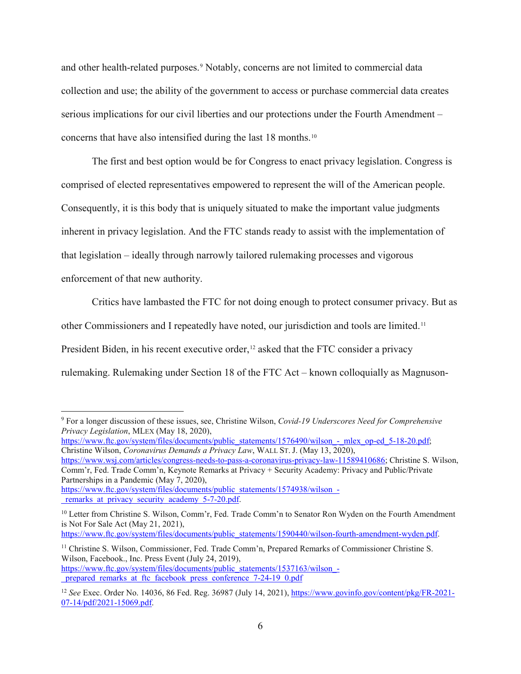and other health-related purposes.<sup>[9](#page-5-0)</sup> Notably, concerns are not limited to commercial data collection and use; the ability of the government to access or purchase commercial data creates serious implications for our civil liberties and our protections under the Fourth Amendment – concerns that have also intensified during the last 18 months.[10](#page-5-1)

The first and best option would be for Congress to enact privacy legislation. Congress is comprised of elected representatives empowered to represent the will of the American people. Consequently, it is this body that is uniquely situated to make the important value judgments inherent in privacy legislation. And the FTC stands ready to assist with the implementation of that legislation – ideally through narrowly tailored rulemaking processes and vigorous enforcement of that new authority.

Critics have lambasted the FTC for not doing enough to protect consumer privacy. But as other Commissioners and I repeatedly have noted, our jurisdiction and tools are limited.[11](#page-5-2) President Biden, in his recent executive order,<sup>[12](#page-5-3)</sup> asked that the FTC consider a privacy rulemaking. Rulemaking under Section 18 of the FTC Act – known colloquially as Magnuson-

<span id="page-5-0"></span> <sup>9</sup> For a longer discussion of these issues, see, Christine Wilson, *Covid-19 Underscores Need for Comprehensive Privacy Legislation*, MLEX (May 18, 2020),

https://www.ftc.gov/system/files/documents/public\_statements/1576490/wilson - mlex\_op-ed\_5-18-20.pdf; Christine Wilson, *Coronavirus Demands a Privacy Law*, WALL ST. J. (May 13, 2020),

[https://www.wsj.com/articles/congress-needs-to-pass-a-coronavirus-privacy-law-11589410686;](https://www.wsj.com/articles/congress-needs-to-pass-a-coronavirus-privacy-law-11589410686) Christine S. Wilson, Comm'r, Fed. Trade Comm'n, Keynote Remarks at Privacy + Security Academy: Privacy and Public/Private Partnerships in a Pandemic (May 7, 2020),

[https://www.ftc.gov/system/files/documents/public\\_statements/1574938/wilson\\_](https://www.ftc.gov/system/files/documents/public_statements/1574938/wilson_-_remarks_at_privacy_security_academy_5-7-20.pdf) remarks at privacy security academy 5-7-20.pdf.

<span id="page-5-1"></span><sup>&</sup>lt;sup>10</sup> Letter from Christine S. Wilson, Comm'r, Fed. Trade Comm'n to Senator Ron Wyden on the Fourth Amendment is Not For Sale Act (May 21, 2021),

https://www.ftc.gov/system/files/documents/public\_statements/1590440/wilson-fourth-amendment-wyden.pdf.

<span id="page-5-2"></span><sup>&</sup>lt;sup>11</sup> Christine S. Wilson, Commissioner, Fed. Trade Comm'n, Prepared Remarks of Commissioner Christine S. Wilson, Facebook., Inc. Press Event (July 24, 2019), https://www.ftc.gov/system/files/documents/public\_statements/1537163/wilson prepared remarks at ftc facebook press conference 7-24-19 0.pdf

<span id="page-5-3"></span><sup>12</sup> *See* Exec. Order No. 14036, 86 Fed. Reg. 36987 (July 14, 2021), [https://www.govinfo.gov/content/pkg/FR-2021-](https://www.govinfo.gov/content/pkg/FR-2021-07-14/pdf/2021-15069.pdf) [07-14/pdf/2021-15069.pdf.](https://www.govinfo.gov/content/pkg/FR-2021-07-14/pdf/2021-15069.pdf)